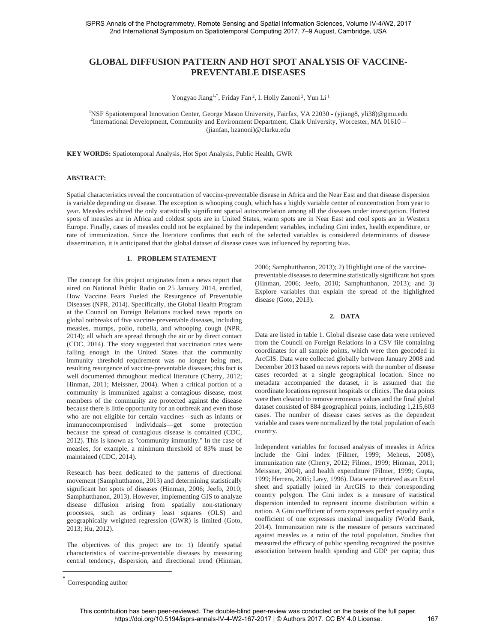# **GLOBAL DIFFUSION PATTERN AND HOT SPOT ANALYSIS OF VACCINE-PREVENTABLE DISEASES**

Yongyao Jiang<sup>1,\*</sup>, Friday Fan<sup>2</sup>, I. Holly Zanoni<sup>2</sup>, Yun Li<sup>1</sup>

<sup>1</sup>NSF Spatiotemporal Innovation Center, George Mason University, Fairfax, VA 22030 - (yjiang8, yli38)@gmu.edu<br><sup>2</sup>International Development Community and Environment Department Clerk University, Weresctor MA 01410 <sup>2</sup>International Development, Community and Environment Department, Clark University, Worcester, MA 01610 – (jianfan, hzanoni)@clarku.edu

**KEY WORDS:** Spatiotemporal Analysis, Hot Spot Analysis, Public Health, GWR

## **ABSTRACT:**

Spatial characteristics reveal the concentration of vaccine-preventable disease in Africa and the Near East and that disease dispersion is variable depending on disease. The exception is whooping cough, which has a highly variable center of concentration from year to year. Measles exhibited the only statistically significant spatial autocorrelation among all the diseases under investigation. Hottest spots of measles are in Africa and coldest spots are in United States, warm spots are in Near East and cool spots are in Western Europe. Finally, cases of measles could not be explained by the independent variables, including Gini index, health expenditure, or rate of immunization. Since the literature confirms that each of the selected variables is considered determinants of disease dissemination, it is anticipated that the global dataset of disease cases was influenced by reporting bias.

#### **1. PROBLEM STATEMENT**

The concept for this project originates from a news report that aired on National Public Radio on 25 January 2014, entitled, How Vaccine Fears Fueled the Resurgence of Preventable Diseases (NPR, 2014). Specifically, the Global Health Program at the Council on Foreign Relations tracked news reports on global outbreaks of five vaccine-preventable diseases, including measles, mumps, polio, rubella, and whooping cough (NPR, 2014); all which are spread through the air or by direct contact (CDC, 2014). The story suggested that vaccination rates were falling enough in the United States that the community immunity threshold requirement was no longer being met, resulting resurgence of vaccine-preventable diseases; this fact is well documented throughout medical literature (Cherry, 2012; Hinman, 2011; Meissner, 2004). When a critical portion of a community is immunized against a contagious disease, most members of the community are protected against the disease because there is little opportunity for an outbreak and even those who are not eligible for certain vaccines—such as infants or immunocompromised individuals—get some protection because the spread of contagious disease is contained (CDC, 2012). This is known as "community immunity." In the case of measles, for example, a minimum threshold of 83% must be maintained (CDC, 2014).

Research has been dedicated to the patterns of directional movement (Samphutthanon, 2013) and determining statistically significant hot spots of diseases (Hinman, 2006; Jeefo, 2010; Samphutthanon, 2013). However, implementing GIS to analyze disease diffusion arising from spatially non-stationary processes, such as ordinary least squares (OLS) and geographically weighted regression (GWR) is limited (Goto, 2013; Hu, 2012).

The objectives of this project are to: 1) Identify spatial characteristics of vaccine-preventable diseases by measuring central tendency, dispersion, and directional trend (Hinman, 2006; Samphutthanon, 2013); 2) Highlight one of the vaccinepreventable diseases to determine statistically significant hot spots (Hinman, 2006; Jeefo, 2010; Samphutthanon, 2013); and 3) Explore variables that explain the spread of the highlighted disease (Goto, 2013).

#### **2. DATA**

Data are listed in table 1. Global disease case data were retrieved from the Council on Foreign Relations in a CSV file containing coordinates for all sample points, which were then geocoded in ArcGIS. Data were collected globally between January 2008 and December 2013 based on news reports with the number of disease cases recorded at a single geographical location. Since no metadata accompanied the dataset, it is assumed that the coordinate locations represent hospitals or clinics. The data points were then cleaned to remove erroneous values and the final global dataset consisted of 884 geographical points, including 1,215,603 cases. The number of disease cases serves as the dependent variable and cases were normalized by the total population of each country.

Independent variables for focused analysis of measles in Africa include the Gini index (Filmer, 1999; Meheus, 2008), immunization rate (Cherry, 2012; Filmer, 1999; Hinman, 2011; Meissner, 2004), and health expenditure (Filmer, 1999; Gupta, 1999; Herrera, 2005; Lavy, 1996). Data were retrieved as an Excel sheet and spatially joined in ArcGIS to their corresponding country polygon. The Gini index is a measure of statistical dispersion intended to represent income distribution within a nation. A Gini coefficient of zero expresses perfect equality and a coefficient of one expresses maximal inequality (World Bank, 2014). Immunization rate is the measure of persons vaccinated against measles as a ratio of the total population. Studies that measured the efficacy of public spending recognized the positive association between health spending and GDP per capita; thus

<sup>-</sup>Corresponding author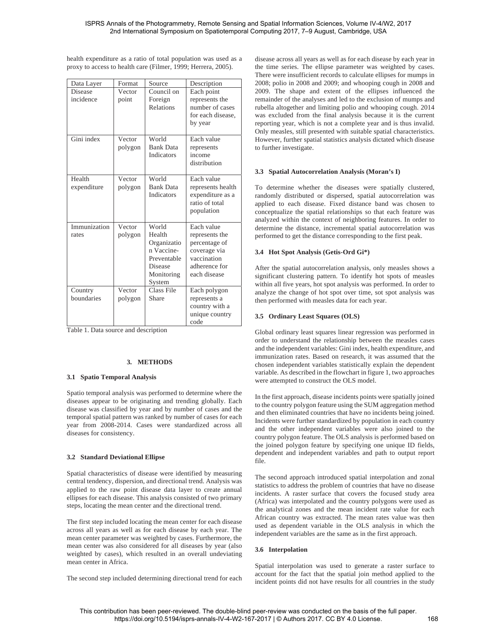health expenditure as a ratio of total population was used as a proxy to access to health care (Filmer, 1999; Herrera, 2005).

| Data Layer                  | Format            | Source                                                                                         | Description                                                                                                   |
|-----------------------------|-------------------|------------------------------------------------------------------------------------------------|---------------------------------------------------------------------------------------------------------------|
| <b>Disease</b><br>incidence | Vector<br>point   | Council on<br>Foreign                                                                          | Each point<br>represents the                                                                                  |
|                             |                   | Relations                                                                                      | number of cases<br>for each disease,<br>by year                                                               |
| Gini index                  | Vector<br>polygon | World<br><b>Bank Data</b><br><b>Indicators</b>                                                 | Each value<br>represents<br>income<br>distribution                                                            |
| Health<br>expenditure       | Vector<br>polygon | World<br><b>Bank Data</b><br><b>Indicators</b>                                                 | Each value<br>represents health<br>expenditure as a<br>ratio of total<br>population                           |
| Immunization<br>rates       | Vector<br>polygon | World<br>Health<br>Organizatio<br>n Vaccine-<br>Preventable<br>Disease<br>Monitoring<br>System | Each value<br>represents the<br>percentage of<br>coverage via<br>vaccination<br>adherence for<br>each disease |
| Country<br>boundaries       | Vector<br>polygon | Class File<br>Share                                                                            | Each polygon<br>represents a<br>country with a<br>unique country<br>code                                      |

Table 1. Data source and description

## **3. METHODS**

## **3.1 Spatio Temporal Analysis**

Spatio temporal analysis was performed to determine where the diseases appear to be originating and trending globally. Each disease was classified by year and by number of cases and the temporal spatial pattern was ranked by number of cases for each year from 2008-2014. Cases were standardized across all diseases for consistency.

## **3.2 Standard Deviational Ellipse**

Spatial characteristics of disease were identified by measuring central tendency, dispersion, and directional trend. Analysis was applied to the raw point disease data layer to create annual ellipses for each disease. This analysis consisted of two primary steps, locating the mean center and the directional trend.

The first step included locating the mean center for each disease across all years as well as for each disease by each year. The mean center parameter was weighted by cases. Furthermore, the mean center was also considered for all diseases by year (also weighted by cases), which resulted in an overall undeviating mean center in Africa.

The second step included determining directional trend for each

disease across all years as well as for each disease by each year in the time series. The ellipse parameter was weighted by cases. There were insufficient records to calculate ellipses for mumps in 2008; polio in 2008 and 2009; and whooping cough in 2008 and 2009. The shape and extent of the ellipses influenced the remainder of the analyses and led to the exclusion of mumps and rubella altogether and limiting polio and whooping cough. 2014 was excluded from the final analysis because it is the current reporting year, which is not a complete year and is thus invalid. Only measles, still presented with suitable spatial characteristics. However, further spatial statistics analysis dictated which disease to further investigate.

### **3.3 Spatial Autocorrelation Analysis (Moran's I)**

To determine whether the diseases were spatially clustered, randomly distributed or dispersed, spatial autocorrelation was applied to each disease. Fixed distance band was chosen to conceptualize the spatial relationships so that each feature was analyzed within the context of neighboring features. In order to determine the distance, incremental spatial autocorrelation was performed to get the distance corresponding to the first peak.

## **3.4 Hot Spot Analysis (Getis-Ord Gi\*)**

After the spatial autocorrelation analysis, only measles shows a significant clustering pattern. To identify hot spots of measles within all five years, hot spot analysis was performed. In order to analyze the change of hot spot over time, sot spot analysis was then performed with measles data for each year.

### **3.5 Ordinary Least Squares (OLS)**

Global ordinary least squares linear regression was performed in order to understand the relationship between the measles cases and the independent variables: Gini index, health expenditure, and immunization rates. Based on research, it was assumed that the chosen independent variables statistically explain the dependent variable. As described in the flowchart in figure 1, two approaches were attempted to construct the OLS model.

In the first approach, disease incidents points were spatially joined to the country polygon feature using the SUM aggregation method and then eliminated countries that have no incidents being joined. Incidents were further standardized by population in each country and the other independent variables were also joined to the country polygon feature. The OLS analysis is performed based on the joined polygon feature by specifying one unique ID fields, dependent and independent variables and path to output report file.

The second approach introduced spatial interpolation and zonal statistics to address the problem of countries that have no disease incidents. A raster surface that covers the focused study area (Africa) was interpolated and the country polygons were used as the analytical zones and the mean incident rate value for each African country was extracted. The mean rates value was then used as dependent variable in the OLS analysis in which the independent variables are the same as in the first approach.

#### **3.6 Interpolation**

Spatial interpolation was used to generate a raster surface to account for the fact that the spatial join method applied to the incident points did not have results for all countries in the study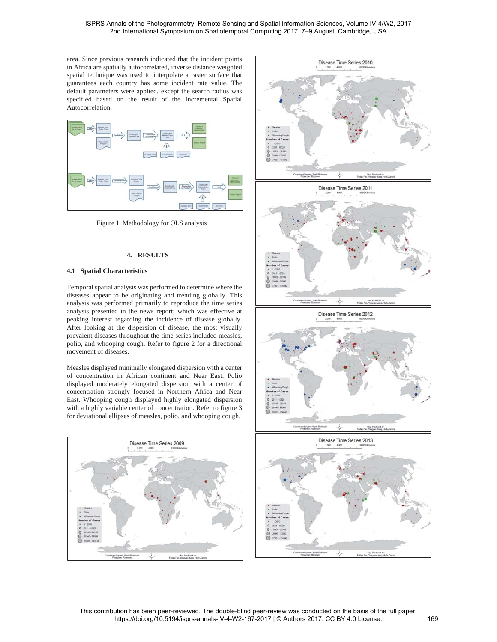area. Since previous research indicated that the incident points in Africa are spatially autocorrelated, inverse distance weighted spatial technique was used to interpolate a raster surface that guarantees each country has some incident rate value. The default parameters were applied, except the search radius was specified based on the result of the Incremental Spatial Autocorrelation.



Figure 1. Methodology for OLS analysis

## **4. RESULTS**

## **4.1 Spatial Characteristics**

Temporal spatial analysis was performed to determine where the diseases appear to be originating and trending globally. This analysis was performed primarily to reproduce the time series analysis presented in the news report; which was effective at peaking interest regarding the incidence of disease globally. After looking at the dispersion of disease, the most visually prevalent diseases throughout the time series included measles, polio, and whooping cough. Refer to figure 2 for a directional movement of diseases.

Measles displayed minimally elongated dispersion with a center of concentration in African continent and Near East. Polio displayed moderately elongated dispersion with a center of concentration strongly focused in Northern Africa and Near East. Whooping cough displayed highly elongated dispersion with a highly variable center of concentration. Refer to figure 3 for deviational ellipses of measles, polio, and whooping cough.





This contribution has been peer-reviewed. The double-blind peer-review was conducted on the basis of the full paper. https://doi.org/10.5194/isprs-annals-IV-4-W2-167-2017 | © Authors 2017. CC BY 4.0 License. 169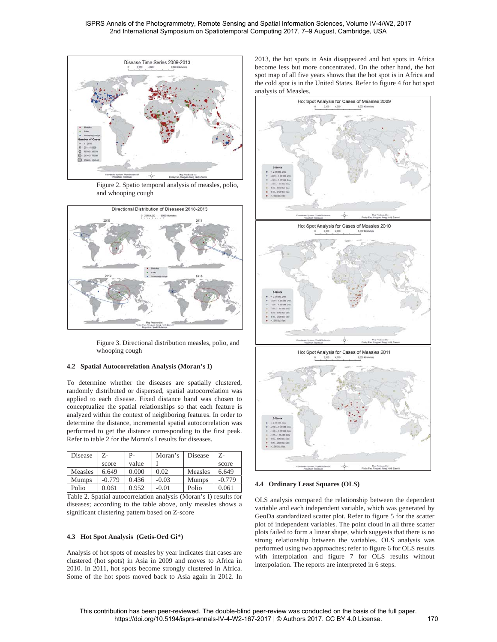

Figure 2. Spatio temporal analysis of measles, polio, and whooping cough



Figure 3. Directional distribution measles, polio, and whooping cough

## **4.2 Spatial Autocorrelation Analysis (Moran's I)**

To determine whether the diseases are spatially clustered, randomly distributed or dispersed, spatial autocorrelation was applied to each disease. Fixed distance band was chosen to conceptualize the spatial relationships so that each feature is analyzed within the context of neighboring features. In order to determine the distance, incremental spatial autocorrelation was performed to get the distance corresponding to the first peak. Refer to table 2 for the Moran's I results for diseases.

| Disease                                                           | Z-       | Р-    | Moran's | Disease      | 7.-      |  |  |
|-------------------------------------------------------------------|----------|-------|---------|--------------|----------|--|--|
|                                                                   | score    | value |         |              | score    |  |  |
| Measles                                                           | 6.649    | 0.000 | 0.02    | Measles      | 6.649    |  |  |
| <b>Mumps</b>                                                      | $-0.779$ | 0.436 | $-0.03$ | <b>Mumps</b> | $-0.779$ |  |  |
| Polio                                                             | 0.061    | 0.952 | $-0.01$ | Polio        | 0.061    |  |  |
| Toble 2. Spotial autocorrelation applying (Moren's I) results for |          |       |         |              |          |  |  |

Table 2. Spatial autocorrelation analysis (Moran's I) results for diseases; according to the table above, only measles shows a significant clustering pattern based on Z-score

#### **4.3 Hot Spot Analysis (Getis-Ord Gi\*)**

Analysis of hot spots of measles by year indicates that cases are clustered (hot spots) in Asia in 2009 and moves to Africa in 2010. In 2011, hot spots become strongly clustered in Africa. Some of the hot spots moved back to Asia again in 2012. In 2013, the hot spots in Asia disappeared and hot spots in Africa become less but more concentrated. On the other hand, the hot spot map of all five years shows that the hot spot is in Africa and the cold spot is in the United States. Refer to figure 4 for hot spot analysis of Measles.



#### **4.4 Ordinary Least Squares (OLS)**

OLS analysis compared the relationship between the dependent variable and each independent variable, which was generated by GeoDa standardized scatter plot. Refer to figure 5 for the scatter plot of independent variables. The point cloud in all three scatter plots failed to form a linear shape, which suggests that there is no strong relationship between the variables. OLS analysis was performed using two approaches; refer to figure 6 for OLS results with interpolation and figure 7 for OLS results without interpolation. The reports are interpreted in 6 steps.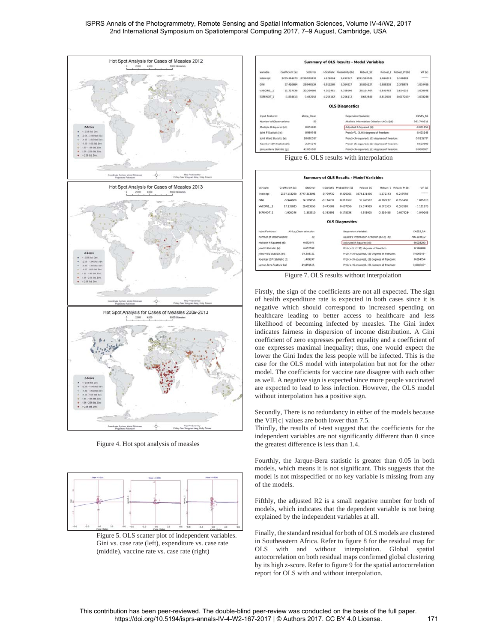



Figure 4. Hot spot analysis of measles



(middle), vaccine rate vs. case rate (right)

|                                         |                                                                             |                         |                                              |                                             | <b>Summary of OLS Results - Model Variables</b> |             |                |                |
|-----------------------------------------|-----------------------------------------------------------------------------|-------------------------|----------------------------------------------|---------------------------------------------|-------------------------------------------------|-------------|----------------|----------------|
| Variable                                | Coefficient (a)                                                             | StatError               | t-Statistic                                  | Probability (b)                             | <b>Robust SE</b>                                | Robust t    | Robust, Pr (b) | Vif (c)        |
| <i><u><b>Intercept</b></u></i>          | 3275.264073                                                                 | 2796.970835             | 1.171004                                     | 0.247627                                    | 1991.510526                                     | 1,644613    | 0.106869       | <b>GARAGES</b> |
| GINS                                    | 27,410684                                                                   | 29.948534               | 0.915260                                     | 0.364827                                    | 30.856127                                       | 0.888338    | 0.378979       | 1.014496       |
| VACCINE 1                               | $-11.727028$                                                                | 33.269999               | $-0.352481$                                  | 0.726090                                    | 20.191407                                       | $-0.580793$ | 0.564215       | 1.020975       |
| <b>EXPENDIT 1</b>                       | $-1.834813$                                                                 | 1.462955                | $-1.254182$                                  | 0.216112                                    | 0.652840                                        | $-2.810510$ | 0.007243*      | 1.033248       |
|                                         |                                                                             |                         |                                              | <b>OLS Diagnostics</b>                      |                                                 |             |                |                |
| <b>Input Features:</b><br>Africa Clean  |                                                                             |                         | Dependent Variable:                          |                                             |                                                 |             |                |                |
|                                         | 50<br>Number of Observations:<br>Akaike's Information Criterion (AICc) (d): |                         |                                              |                                             | 961-740311                                      |             |                |                |
| 0.059483<br>Multiple R-Squared (d):     |                                                                             | Adjusted R-Squared [d]: |                                              |                                             | $-0.001856$                                     |             |                |                |
| joint F-Statistic Ie1:<br>0.969748      |                                                                             |                         | Prob(>F), (3.46) degrees of freedom:         |                                             |                                                 |             |                |                |
| <b>Solet Wald Statistic (e)</b>         |                                                                             | 10.681557               |                                              | Probl>chi-squared). (3) degrees of freedom: |                                                 |             | $0.013579*$    |                |
| Koenker (BP) Statistic (f):<br>2,245240 |                                                                             |                         | Probit>chi-squared), (3) degrees of freedom: |                                             |                                                 |             |                |                |
| Jarque-Bera Statistic (g):<br>41.055507 |                                                                             |                         |                                              | Prob(>chi-squared), (2) degrees of freedom: |                                                 |             |                | 0.000000 **    |

Figure 6. OLS results with interpolation

|                                           |                 |             |                                              |                             | <b>Summary of OLS Results - Model Variables</b> |                     |               |                                       |
|-------------------------------------------|-----------------|-------------|----------------------------------------------|-----------------------------|-------------------------------------------------|---------------------|---------------|---------------------------------------|
| Variable                                  | Coefficient (a) | Statimon    |                                              | t-Statistic Probability [b] | Robust SE                                       | Robust <sub>t</sub> | Robust Pr (b) | VIF [c]                               |
| intercept                                 | 2197.113258     | 2747.313091 | 0.799732                                     | 0.429261                    | 1074.121496                                     | 1.172343            | 0.248978      | <b><i><u>Report Followski</u></i></b> |
| Citat                                     | $-5.944900$     | 34.139156   | $-0.174137$                                  | 0.862762                    | 31.948562                                       | $-0.186077$         | 0.853460      | 1.085810                              |
| VACCINE 1                                 | 17.135815       | 36.023656   | 0.475682                                     | 0.637256                    | 25.374989                                       | 0.675303            | 0.503920      | 1.111976                              |
| <b>EXPENDIT 1</b>                         | $-1.926246$     | 1.392510    | $-1.383291$                                  | 0.175336                    | 0.683925                                        | $-2.816458$         | $0.007928*$   | 1.049203                              |
|                                           |                 |             |                                              | <b>OLS Diagnostics</b>      |                                                 |                     |               |                                       |
| Input Features:<br>Africa Clean selection |                 |             | Dependent Variable:                          |                             |                                                 |                     | CASES RA      |                                       |
| Number of Observations:<br>39             |                 |             | Akaike's Information Criterion (AICc) [d]:   |                             |                                                 |                     | 746,203812    |                                       |
| Multiple R-Squared [d]:<br>0.052974       |                 |             | Adjusted R-Squared (d):                      |                             |                                                 |                     | $-0.028200$   |                                       |
| 0.652598<br>Joint F-Statistic [e]:        |                 |             | Prob(>F), (3,35) degrees of freedom:         |                             |                                                 |                     | 0.586689      |                                       |
| 10.288121<br>Joint Wald Statistic [e]:    |                 |             | Probl:>chi-squared). (3) degrees of freedom: |                             |                                                 |                     | 0.016269*     |                                       |
| Koenker (BP) Statistic [f]:<br>1.489247   |                 |             | Prob(>chi-squared), (3) degrees of freedom:  |                             |                                                 |                     | 0.684754      |                                       |
| 49.893616<br>Jarque-Bera Statistic (g):   |                 |             | Prob(>chi-squared), (2) degrees of freedom:  |                             |                                                 |                     | $0.000000+$   |                                       |

Figure 7. OLS results without interpolation

Firstly, the sign of the coefficients are not all expected. The sign of health expenditure rate is expected in both cases since it is negative which should correspond to increased spending on healthcare leading to better access to healthcare and less likelihood of becoming infected by measles. The Gini index indicates fairness in dispersion of income distribution. A Gini coefficient of zero expresses perfect equality and a coefficient of one expresses maximal inequality; thus, one would expect the lower the Gini Index the less people will be infected. This is the case for the OLS model with interpolation but not for the other model. The coefficients for vaccine rate disagree with each other as well. A negative sign is expected since more people vaccinated are expected to lead to less infection. However, the OLS model without interpolation has a positive sign.

Secondly, There is no redundancy in either of the models because the VIF[c] values are both lower than 7.5.

Thirdly, the results of t-test suggest that the coefficients for the independent variables are not significantly different than 0 since the greatest difference is less than 1.4.

Fourthly, the Jarque-Bera statistic is greater than 0.05 in both models, which means it is not significant. This suggests that the model is not misspecified or no key variable is missing from any of the models.

Fifthly, the adjusted R2 is a small negative number for both of models, which indicates that the dependent variable is not being explained by the independent variables at all.

Finally, the standard residual for both of OLS models are clustered in Southeastern Africa. Refer to figure 8 for the residual map for OLS with and without interpolation. Global spatial autocorrelation on both residual maps confirmed global clustering by its high z-score. Refer to figure 9 for the spatial autocorrelation report for OLS with and without interpolation.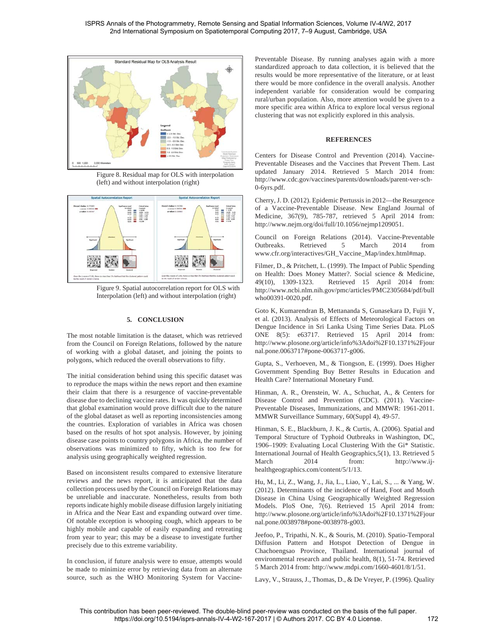

Figure 8. Residual map for OLS with interpolation (left) and without interpolation (right)



Figure 9. Spatial autocorrelation report for OLS with Interpolation (left) and without interpolation (right)

## **5. CONCLUSION**

The most notable limitation is the dataset, which was retrieved from the Council on Foreign Relations, followed by the nature of working with a global dataset, and joining the points to polygons, which reduced the overall observations to fifty.

The initial consideration behind using this specific dataset was to reproduce the maps within the news report and then examine their claim that there is a resurgence of vaccine-preventable disease due to declining vaccine rates. It was quickly determined that global examination would prove difficult due to the nature of the global dataset as well as reporting inconsistencies among the countries. Exploration of variables in Africa was chosen based on the results of hot spot analysis. However, by joining disease case points to country polygons in Africa, the number of observations was minimized to fifty, which is too few for analysis using geographically weighted regression.

Based on inconsistent results compared to extensive literature reviews and the news report, it is anticipated that the data collection process used by the Council on Foreign Relations may be unreliable and inaccurate. Nonetheless, results from both reports indicate highly mobile disease diffusion largely initiating in Africa and the Near East and expanding outward over time. Of notable exception is whooping cough, which appears to be highly mobile and capable of easily expanding and retreating from year to year; this may be a disease to investigate further precisely due to this extreme variability.

In conclusion, if future analysis were to ensue, attempts would be made to minimize error by retrieving data from an alternate source, such as the WHO Monitoring System for VaccinePreventable Disease. By running analyses again with a more standardized approach to data collection, it is believed that the results would be more representative of the literature, or at least there would be more confidence in the overall analysis. Another independent variable for consideration would be comparing rural/urban population. Also, more attention would be given to a more specific area within Africa to explore local versus regional clustering that was not explicitly explored in this analysis.

## **REFERENCES**

Centers for Disease Control and Prevention (2014). Vaccine-Preventable Diseases and the Vaccines that Prevent Them. Last updated January 2014. Retrieved 5 March 2014 from: http://www.cdc.gov/vaccines/parents/downloads/parent-ver-sch-0-6yrs.pdf.

Cherry, J. D. (2012). Epidemic Pertussis in 2012—the Resurgence of a Vaccine-Preventable Disease. New England Journal of Medicine, 367(9), 785-787, retrieved 5 April 2014 from: http://www.nejm.org/doi/full/10.1056/nejmp1209051.

Council on Foreign Relations (2014). Vaccine-Preventable Outbreaks. Retrieved 5 March 2014 from www.cfr.org/interactives/GH\_Vaccine\_Map/index.html#map.

Filmer, D., & Pritchett, L. (1999). The Impact of Public Spending on Health: Does Money Matter?. Social science & Medicine, 49(10), 1309-1323. Retrieved 15 April 2014 from: http://www.ncbi.nlm.nih.gov/pmc/articles/PMC2305684/pdf/bull who00391-0020.pdf.

Goto K, Kumarendran B, Mettananda S, Gunasekara D, Fujii Y, et al. (2013). Analysis of Effects of Meteorological Factors on Dengue Incidence in Sri Lanka Using Time Series Data. PLoS ONE 8(5): e63717. Retrieved 15 April 2014 from: http://www.plosone.org/article/info%3Adoi%2F10.1371%2Fjour nal.pone.0063717#pone-0063717-g006.

Gupta, S., Verhoeven, M., & Tiongson, E. (1999). Does Higher Government Spending Buy Better Results in Education and Health Care? International Monetary Fund.

Hinman, A. R., Orenstein, W. A., Schuchat, A., & Centers for Disease Control and Prevention (CDC). (2011). Vaccine-Preventable Diseases, Immunizations, and MMWR: 1961-2011. MMWR Surveillance Summary, 60(Suppl 4), 49-57.

Hinman, S. E., Blackburn, J. K., & Curtis, A. (2006). Spatial and Temporal Structure of Typhoid Outbreaks in Washington, DC, 1906–1909: Evaluating Local Clustering With the Gi\* Statistic. International Journal of Health Geographics,5(1), 13. Retrieved 5 March 2014 from: http://www.ijhealthgeographics.com/content/5/1/13.

Hu, M., Li, Z., Wang, J., Jia, L., Liao, Y., Lai, S., ... & Yang, W. (2012). Determinants of the incidence of Hand, Foot and Mouth Disease in China Using Geographically Weighted Regression Models. PloS One, 7(6). Retrieved 15 April 2014 from: http://www.plosone.org/article/info%3Adoi%2F10.1371%2Fjour nal.pone.0038978#pone-0038978-g003.

Jeefoo, P., Tripathi, N. K., & Souris, M. (2010). Spatio-Temporal Diffusion Pattern and Hotspot Detection of Dengue in Chachoengsao Province, Thailand. International journal of environmental research and public health, 8(1), 51-74. Retrieved 5 March 2014 from: http://www.mdpi.com/1660-4601/8/1/51.

Lavy, V., Strauss, J., Thomas, D., & De Vreyer, P. (1996). Quality